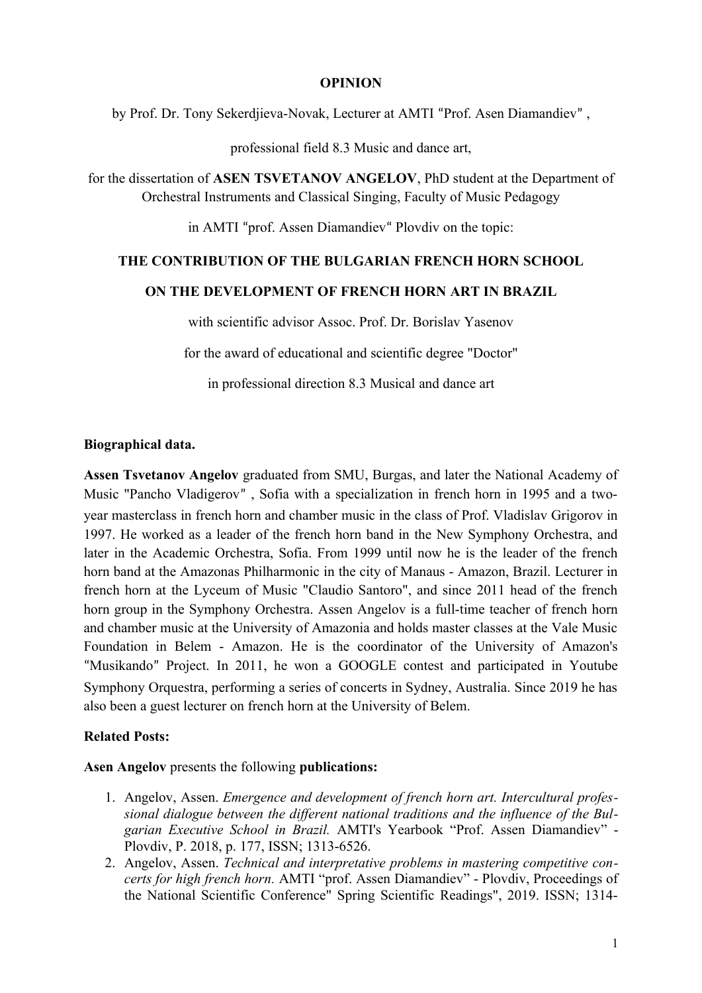### **OPINION**

by Prof. Dr. Tony Sekerdjieva-Novak, Lecturer at AMTI "Prof. Asen Diamandiev" ,

professional field 8.3 Music and dance art,

for the dissertation of **ASEN TSVETANOV ANGELOV**, PhD student at the Department of Orchestral Instruments and Classical Singing, Faculty of Music Pedagogy

in AMTI "prof. Assen Diamandiev" Plovdiv on the topic:

## **THE CONTRIBUTION OF THE BULGARIAN FRENCH HORN SCHOOL**

#### **ON THE DEVELOPMENT OF FRENCH HORN ART IN BRAZIL**

with scientific advisor Assoc. Prof. Dr. Borislav Yasenov

for the award of educational and scientific degree "Doctor"

in professional direction 8.3 Musical and dance art

## **Biographical data.**

**Assen Tsvetanov Angelov** graduated from SMU, Burgas, and later the National Academy of Music "Pancho Vladigerov" , Sofia with a specialization in french horn in 1995 and a twoyear masterclass in french horn and chamber music in the class of Prof. Vladislav Grigorov in 1997. He worked as a leader of the french horn band in the New Symphony Orchestra, and later in the Academic Orchestra, Sofia. From 1999 until now he is the leader of the french horn band at the Amazonas Philharmonic in the city of Manaus - Amazon, Brazil. Lecturer in french horn at the Lyceum of Music "Claudio Santoro", and since 2011 head of the french horn group in the Symphony Orchestra. Assen Angelov is a full-time teacher of french horn and chamber music at the University of Amazonia and holds master classes at the Vale Music Foundation in Belem - Amazon. He is the coordinator of the University of Amazon's "Musikando" Project. In 2011, he won a GOOGLE contest and participated in Youtube Symphony Orquestra, performing a series of concerts in Sydney, Australia. Since 2019 he has also been a guest lecturer on french horn at the University of Belem.

# **Related Posts:**

#### **Asen Angelov** presents the following **publications:**

- 1. Angelov, Assen. *Emergence and development of french horn art. Intercultural professional dialogue between the different national traditions and the influence of the Bulgarian Executive School in Brazil.* AMTI's Yearbook "Prof. Assen Diamandiev" - Plovdiv, P. 2018, p. 177, ISSN; 1313-6526.
- 2. Angelov, Assen. *Technical and interpretative problems in mastering competitive concerts for high french horn.* AMTI "prof. Assen Diamandiev" - Plovdiv, Proceedings of the National Scientific Conference" Spring Scientific Readings", 2019. ISSN; 1314-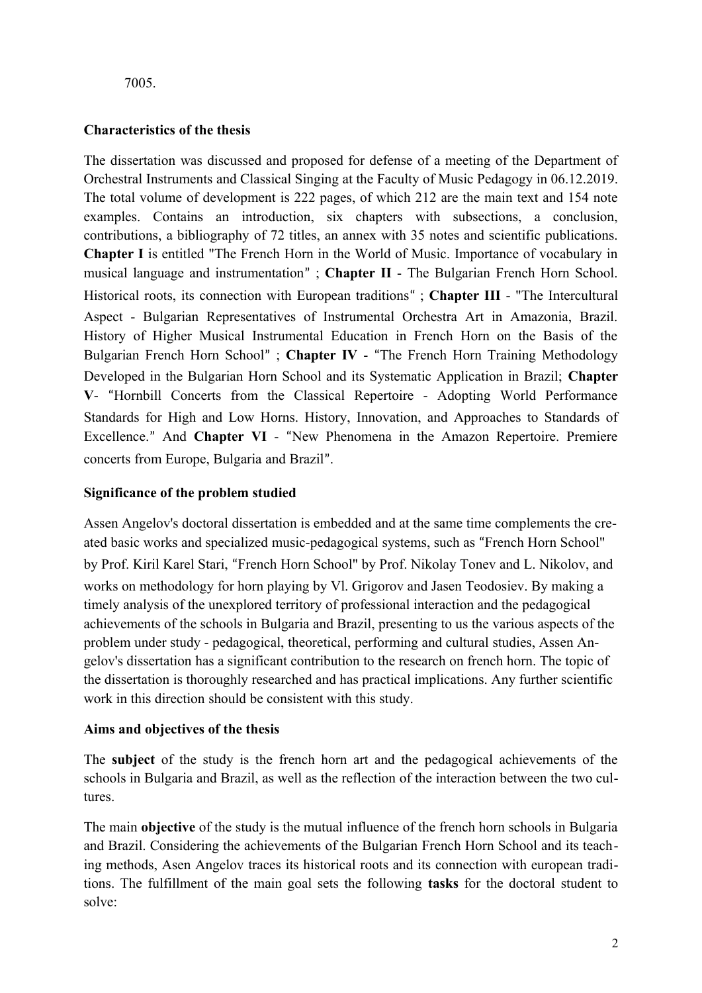# 7005.

# **Characteristics of the thesis**

The dissertation was discussed and proposed for defense of a meeting of the Department of Orchestral Instruments and Classical Singing at the Faculty of Music Pedagogy in 06.12.2019. The total volume of development is 222 pages, of which 212 are the main text and 154 note examples. Contains an introduction, six chapters with subsections, a conclusion, contributions, a bibliography of 72 titles, an annex with 35 notes and scientific publications. **Chapter I** is entitled "The French Horn in the World of Music. Importance of vocabulary in musical language and instrumentation" ; **Chapter II** - The Bulgarian French Horn School. Historical roots, its connection with European traditions" ; **Chapter III** - "The Intercultural Aspect - Bulgarian Representatives of Instrumental Orchestra Art in Amazonia, Brazil. History of Higher Musical Instrumental Education in French Horn on the Basis of the Bulgarian French Horn School" ; **Chapter IV** - "The French Horn Training Methodology Developed in the Bulgarian Horn School and its Systematic Application in Brazil; **Chapter V**- "Hornbill Concerts from the Classical Repertoire - Adopting World Performance Standards for High and Low Horns. History, Innovation, and Approaches to Standards of Excellence." And **Chapter VI** - "New Phenomena in the Amazon Repertoire. Premiere concerts from Europe, Bulgaria and Brazil".

# **Significance of the problem studied**

Assen Angelov's doctoral dissertation is embedded and at the same time complements the created basic works and specialized music-pedagogical systems, such as "French Horn School" by Prof. Kiril Karel Stari, "French Horn School" by Prof. Nikolay Tonev and L. Nikolov, and works on methodology for horn playing by Vl. Grigorov and Jasen Teodosiev. By making a timely analysis of the unexplored territory of professional interaction and the pedagogical achievements of the schools in Bulgaria and Brazil, presenting to us the various aspects of the problem under study - pedagogical, theoretical, performing and cultural studies, Assen Angelov's dissertation has a significant contribution to the research on french horn. The topic of the dissertation is thoroughly researched and has practical implications. Any further scientific work in this direction should be consistent with this study.

# **Aims and objectives of the thesis**

The **subject** of the study is the french horn art and the pedagogical achievements of the schools in Bulgaria and Brazil, as well as the reflection of the interaction between the two cultures.

The main **objective** of the study is the mutual influence of the french horn schools in Bulgaria and Brazil. Considering the achievements of the Bulgarian French Horn School and its teaching methods, Asen Angelov traces its historical roots and its connection with european traditions. The fulfillment of the main goal sets the following **tasks** for the doctoral student to solve: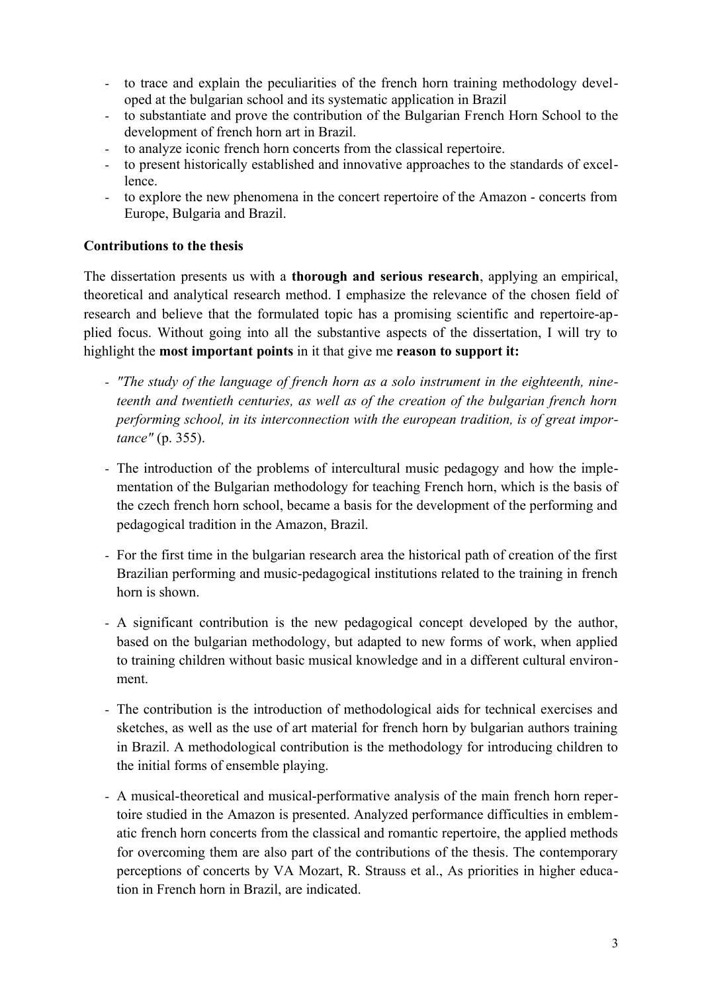- to trace and explain the peculiarities of the french horn training methodology developed at the bulgarian school and its systematic application in Brazil
- to substantiate and prove the contribution of the Bulgarian French Horn School to the development of french horn art in Brazil.
- to analyze iconic french horn concerts from the classical repertoire.
- to present historically established and innovative approaches to the standards of excellence.
- to explore the new phenomena in the concert repertoire of the Amazon concerts from Europe, Bulgaria and Brazil.

## **Contributions to the thesis**

The dissertation presents us with a **thorough and serious research**, applying an empirical, theoretical and analytical research method. I emphasize the relevance of the chosen field of research and believe that the formulated topic has a promising scientific and repertoire-applied focus. Without going into all the substantive aspects of the dissertation, I will try to highlight the **most important points** in it that give me **reason to support it:**

- *- "The study of the language of french horn as a solo instrument in the eighteenth, nineteenth and twentieth centuries, as well as of the creation of the bulgarian french horn performing school, in its interconnection with the european tradition, is of great importance"* (p. 355).
- The introduction of the problems of intercultural music pedagogy and how the implementation of the Bulgarian methodology for teaching French horn, which is the basis of the czech french horn school, became a basis for the development of the performing and pedagogical tradition in the Amazon, Brazil.
- For the first time in the bulgarian research area the historical path of creation of the first Brazilian performing and music-pedagogical institutions related to the training in french horn is shown.
- A significant contribution is the new pedagogical concept developed by the author, based on the bulgarian methodology, but adapted to new forms of work, when applied to training children without basic musical knowledge and in a different cultural environment.
- The contribution is the introduction of methodological aids for technical exercises and sketches, as well as the use of art material for french horn by bulgarian authors training in Brazil. A methodological contribution is the methodology for introducing children to the initial forms of ensemble playing.
- A musical-theoretical and musical-performative analysis of the main french horn repertoire studied in the Amazon is presented. Analyzed performance difficulties in emblematic french horn concerts from the classical and romantic repertoire, the applied methods for overcoming them are also part of the contributions of the thesis. The contemporary perceptions of concerts by VA Mozart, R. Strauss et al., As priorities in higher education in French horn in Brazil, are indicated.